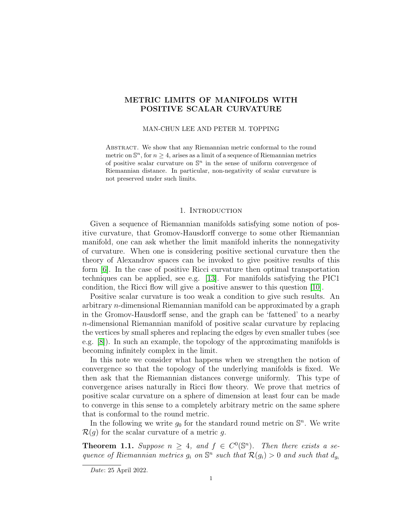# METRIC LIMITS OF MANIFOLDS WITH POSITIVE SCALAR CURVATURE

#### MAN-CHUN LEE AND PETER M. TOPPING

Abstract. We show that any Riemannian metric conformal to the round metric on  $\mathbb{S}^n$ , for  $n \geq 4$ , arises as a limit of a sequence of Riemannian metrics of positive scalar curvature on  $\mathbb{S}^n$  in the sense of uniform convergence of Riemannian distance. In particular, non-negativity of scalar curvature is not preserved under such limits.

## 1. INTRODUCTION

Given a sequence of Riemannian manifolds satisfying some notion of positive curvature, that Gromov-Hausdorff converge to some other Riemannian manifold, one can ask whether the limit manifold inherits the nonnegativity of curvature. When one is considering positive sectional curvature then the theory of Alexandrov spaces can be invoked to give positive results of this form [\[6\]](#page-12-0). In the case of positive Ricci curvature then optimal transportation techniques can be applied, see e.g. [\[13\]](#page-12-1). For manifolds satisfying the PIC1 condition, the Ricci flow will give a positive answer to this question [\[10\]](#page-12-2).

Positive scalar curvature is too weak a condition to give such results. An arbitrary n-dimensional Riemannian manifold can be approximated by a graph in the Gromov-Hausdorff sense, and the graph can be 'fattened' to a nearby n-dimensional Riemannian manifold of positive scalar curvature by replacing the vertices by small spheres and replacing the edges by even smaller tubes (see e.g. [\[8\]](#page-12-3)). In such an example, the topology of the approximating manifolds is becoming infinitely complex in the limit.

In this note we consider what happens when we strengthen the notion of convergence so that the topology of the underlying manifolds is fixed. We then ask that the Riemannian distances converge uniformly. This type of convergence arises naturally in Ricci flow theory. We prove that metrics of positive scalar curvature on a sphere of dimension at least four can be made to converge in this sense to a completely arbitrary metric on the same sphere that is conformal to the round metric.

In the following we write  $g_0$  for the standard round metric on  $\mathbb{S}^n$ . We write  $\mathcal{R}(q)$  for the scalar curvature of a metric q.

<span id="page-0-0"></span>**Theorem 1.1.** Suppose  $n \geq 4$ , and  $f \in C^{0}(\mathbb{S}^{n})$ . Then there exists a sequence of Riemannian metrics  $g_i$  on  $\mathbb{S}^n$  such that  $\mathcal{R}(g_i) > 0$  and such that  $d_{g_i}$ 

Date: 25 April 2022.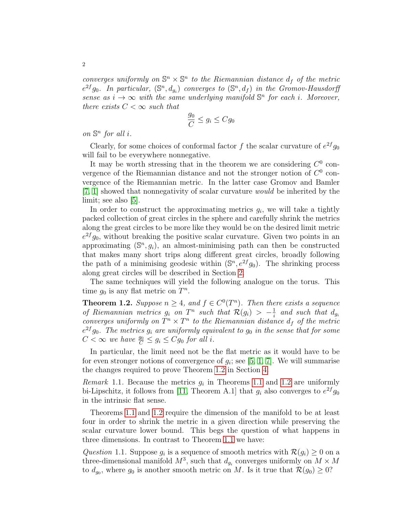converges uniformly on  $\mathbb{S}^n \times \mathbb{S}^n$  to the Riemannian distance  $d_f$  of the metric  $e^{2f}g_0$ . In particular,  $(\mathbb{S}^n,d_{g_i})$  converges to  $(\mathbb{S}^n,d_f)$  in the Gromov-Hausdorff sense as  $i \to \infty$  with the same underlying manifold  $\mathbb{S}^n$  for each i. Moreover, there exists  $C < \infty$  such that

$$
\frac{g_0}{C} \le g_i \le Cg_0
$$

on  $\mathbb{S}^n$  for all *i*.

Clearly, for some choices of conformal factor f the scalar curvature of  $e^{2f}g_0$ will fail to be everywhere nonnegative.

It may be worth stressing that in the theorem we are considering  $C^0$  convergence of the Riemannian distance and not the stronger notion of  $C^0$  convergence of the Riemannian metric. In the latter case Gromov and Bamler [\[7,](#page-12-4) [1\]](#page-12-5) showed that nonnegativity of scalar curvature would be inherited by the limit; see also [\[5\]](#page-12-6).

In order to construct the approximating metrics  $g_i$ , we will take a tightly packed collection of great circles in the sphere and carefully shrink the metrics along the great circles to be more like they would be on the desired limit metric  $e^{2f}g_0$ , without breaking the positive scalar curvature. Given two points in an approximating  $(\mathbb{S}^n, g_i)$ , an almost-minimising path can then be constructed that makes many short trips along different great circles, broadly following the path of a minimising geodesic within  $(\mathbb{S}^n, e^{2f}g_0)$ . The shrinking process along great circles will be described in Section [2.](#page-2-0)

The same techniques will yield the following analogue on the torus. This time  $g_0$  is any flat metric on  $T^n$ .

<span id="page-1-0"></span>**Theorem 1.2.** Suppose  $n \geq 4$ , and  $f \in C^{0}(T^{n})$ . Then there exists a sequence of Riemannian metrics  $g_i$  on  $T^n$  such that  $\mathcal{R}(g_i) > -\frac{1}{i}$  $\frac{1}{i}$  and such that  $d_{g_i}$ converges uniformly on  $T^n \times T^n$  to the Riemannian distance  $d_f$  of the metric  $e^{2f}g_0$ . The metrics  $g_i$  are uniformly equivalent to  $g_0$  in the sense that for some  $C < \infty$  we have  $\frac{g_0}{C} \leq g_i \leq Cg_0$  for all i.

In particular, the limit need not be the flat metric as it would have to be for even stronger notions of convergence of  $g_i$ ; see [\[5,](#page-12-6) [1,](#page-12-5) [7\]](#page-12-4). We will summarise the changes required to prove Theorem [1.2](#page-1-0) in Section [4.](#page-10-0)

*Remark* [1.1](#page-0-0). Because the metrics  $g_i$  in Theorems 1.1 and [1.2](#page-1-0) are uniformly bi-Lipschitz, it follows from [\[11,](#page-12-7) Theorem A.1] that  $g_i$  also converges to  $e^{2f}g_0$ in the intrinsic flat sense.

Theorems [1.1](#page-0-0) and [1.2](#page-1-0) require the dimension of the manifold to be at least four in order to shrink the metric in a given direction while preserving the scalar curvature lower bound. This begs the question of what happens in three dimensions. In contrast to Theorem [1.1](#page-0-0) we have:

<span id="page-1-1"></span>Question 1.1. Suppose  $g_i$  is a sequence of smooth metrics with  $\mathcal{R}(g_i) \geq 0$  on a three-dimensional manifold  $M^3$ , such that  $d_{g_i}$  converges uniformly on  $M \times M$ to  $d_{g_0}$ , where  $g_0$  is another smooth metric on M. Is it true that  $\mathcal{R}(g_0) \geq 0$ ?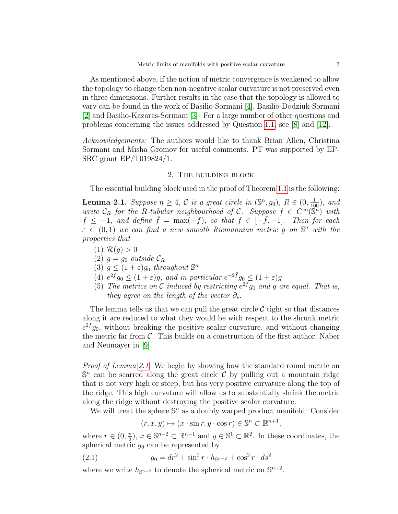As mentioned above, if the notion of metric convergence is weakened to allow the topology to change then non-negative scalar curvature is not preserved even in three dimensions. Further results in the case that the topology is allowed to vary can be found in the work of Basilio-Sormani [\[4\]](#page-12-8), Basilio-Dodziuk-Sormani [\[2\]](#page-12-9) and Basilio-Kazaras-Sormani [\[3\]](#page-12-10). For a large number of other questions and problems concerning the issues addressed by Question [1.1,](#page-1-1) see [\[8\]](#page-12-3) and [\[12\]](#page-12-11).

Acknowledgements: The authors would like to thank Brian Allen, Christina Sormani and Misha Gromov for useful comments. PT was supported by EP-SRC grant EP/T019824/1.

### 2. The building block

<span id="page-2-0"></span>The essential building block used in the proof of Theorem [1.1](#page-0-0) is the following:

<span id="page-2-1"></span>**Lemma 2.1.** Suppose  $n \geq 4$ , C is a great circle in  $(\mathbb{S}^n, g_0)$ ,  $R \in (0, \frac{1}{100})$ , and write  $C_R$  for the R-tubular neighbourhood of C. Suppose  $f \in C^{\infty}(\mathbb{S}^n)$  with  $f \leq -1$ , and define  $\bar{f} = \max(-f)$ , so that  $f \in [-\bar{f}, -1]$ . Then for each  $\varepsilon \in (0,1)$  we can find a new smooth Riemannian metric g on  $\mathbb{S}^n$  with the properties that

- (1)  $\mathcal{R}(q) > 0$
- (2)  $g = g_0$  outside  $\mathcal{C}_R$
- (3)  $g \leq (1+\varepsilon)g_0$  throughout  $\mathbb{S}^n$
- (4)  $e^{2f}g_0 \leq (1+\varepsilon)g$ , and in particular  $e^{-2\bar{f}}g_0 \leq (1+\varepsilon)g$
- (5) The metrics on C induced by restricting  $e^{2f}g_0$  and g are equal. That is, they agree on the length of the vector  $\partial_s$ .

The lemma tells us that we can pull the great circle  $\mathcal C$  tight so that distances along it are reduced to what they would be with respect to the shrunk metric  $e^{2f}g_0$ , without breaking the positive scalar curvature, and without changing the metric far from  $\mathcal{C}$ . This builds on a construction of the first author, Naber and Neumayer in [\[9\]](#page-12-12).

Proof of Lemma [2.1.](#page-2-1) We begin by showing how the standard round metric on  $\mathbb{S}^n$  can be scarred along the great circle  $\mathcal{C}$  by pulling out a mountain ridge that is not very high or steep, but has very positive curvature along the top of the ridge. This high curvature will allow us to substantially shrink the metric along the ridge without destroying the positive scalar curvature.

We will treat the sphere  $\mathbb{S}^n$  as a doubly warped product manifold: Consider

<span id="page-2-2"></span>
$$
(r, x, y) \mapsto (x \cdot \sin r, y \cdot \cos r) \in \mathbb{S}^n \subset \mathbb{R}^{n+1},
$$

where  $r \in (0, \frac{\pi}{2})$  $(\frac{\pi}{2})$ ,  $x \in \mathbb{S}^{n-2} \subset \mathbb{R}^{n-1}$  and  $y \in \mathbb{S}^1 \subset \mathbb{R}^2$ . In these coordinates, the spherical metric  $g_0$  can be represented by

(2.1) 
$$
g_0 = dr^2 + \sin^2 r \cdot h_{\mathbb{S}^{n-2}} + \cos^2 r \cdot ds^2
$$

where we write  $h_{\mathbb{S}^{n-2}}$  to denote the spherical metric on  $\mathbb{S}^{n-2}$ .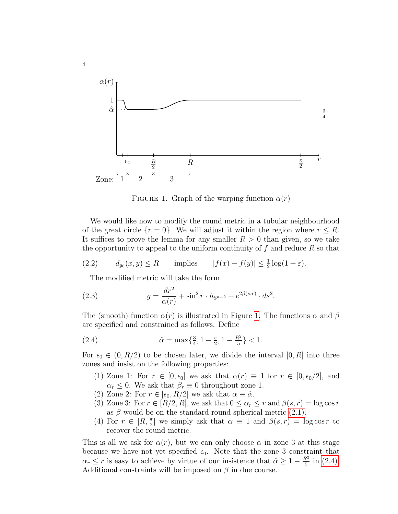

<span id="page-3-0"></span>FIGURE 1. Graph of the warping function  $\alpha(r)$ 

We would like now to modify the round metric in a tubular neighbourhood of the great circle  $\{r = 0\}$ . We will adjust it within the region where  $r \leq R$ . It suffices to prove the lemma for any smaller  $R > 0$  than given, so we take the opportunity to appeal to the uniform continuity of  $f$  and reduce  $R$  so that

(2.2) 
$$
d_{g_0}(x, y) \le R \quad \text{implies} \quad |f(x) - f(y)| \le \frac{1}{2} \log(1 + \varepsilon).
$$

<span id="page-3-3"></span><span id="page-3-2"></span>The modified metric will take the form

(2.3) 
$$
g = \frac{dr^2}{\alpha(r)} + \sin^2 r \cdot h_{\mathbb{S}^{n-2}} + e^{2\beta(s,r)} \cdot ds^2.
$$

The (smooth) function  $\alpha(r)$  is illustrated in Figure [1.](#page-3-0) The functions  $\alpha$  and  $\beta$ are specified and constrained as follows. Define

(2.4) 
$$
\hat{\alpha} = \max\{\frac{3}{4}, 1 - \frac{\varepsilon}{2}, 1 - \frac{R^2}{5}\} < 1.
$$

For  $\epsilon_0 \in (0, R/2)$  to be chosen later, we divide the interval  $[0, R]$  into three zones and insist on the following properties:

- <span id="page-3-1"></span>(1) Zone 1: For  $r \in [0, \epsilon_0]$  we ask that  $\alpha(r) \equiv 1$  for  $r \in [0, \epsilon_0/2]$ , and  $\alpha_r \leq 0$ . We ask that  $\beta_r \equiv 0$  throughout zone 1.
- (2) Zone 2: For  $r \in [\epsilon_0, R/2]$  we ask that  $\alpha \equiv \hat{\alpha}$ .
- (3) Zone 3: For  $r \in [R/2, R]$ , we ask that  $0 \leq \alpha_r \leq r$  and  $\beta(s, r) = \log \cos r$ as  $\beta$  would be on the standard round spherical metric [\(2.1\).](#page-2-2)
- (4) For  $r \in [R, \frac{\pi}{2}]$  we simply ask that  $\alpha \equiv 1$  and  $\beta(s,r) = \log \cos r$  to recover the round metric.

This is all we ask for  $\alpha(r)$ , but we can only choose  $\alpha$  in zone 3 at this stage because we have not yet specified  $\epsilon_0$ . Note that the zone 3 constraint that  $\alpha_r \leq r$  is easy to achieve by virtue of our insistence that  $\hat{\alpha} \geq 1 - \frac{R^2}{5}$  $rac{1}{5}$  in [\(2.4\).](#page-3-1) Additional constraints will be imposed on  $\beta$  in due course.

4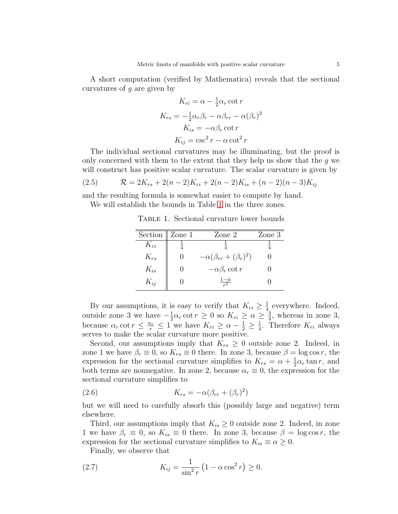A short computation (verified by Mathematica) reveals that the sectional curvatures of g are given by

$$
K_{ri} = \alpha - \frac{1}{2}\alpha_r \cot r
$$

$$
K_{rs} = -\frac{1}{2}\alpha_r \beta_r - \alpha \beta_{rr} - \alpha (\beta_r)^2
$$

$$
K_{is} = -\alpha \beta_r \cot r
$$

$$
K_{ij} = \csc^2 r - \alpha \cot^2 r
$$

The individual sectional curvatures may be illuminating, but the proof is only concerned with them to the extent that they help us show that the  $g$  we will construct has positive scalar curvature. The scalar curvature is given by

<span id="page-4-1"></span>(2.5) 
$$
\mathcal{R} = 2K_{rs} + 2(n-2)K_{ri} + 2(n-2)K_{is} + (n-2)(n-3)K_{ij}
$$

and the resulting formula is somewhat easier to compute by hand. We will establish the bounds in Table [1](#page-4-0) in the three zones.

<span id="page-4-0"></span>Table 1. Sectional curvature lower bounds

| Section $\parallel$ Zone 1 | Zone 2                            | Zone 3 |
|----------------------------|-----------------------------------|--------|
| $K_{ri}$                   |                                   |        |
| $K_{rs}$                   | $-\alpha(\beta_{rr}+(\beta_r)^2)$ |        |
| $K_{is}$                   | $-\alpha\beta_r \cot r$           |        |
| $K_{ij}$                   | $\frac{1-\hat{\alpha}}{r^2}$      |        |

By our assumptions, it is easy to verify that  $K_{ri} \geq \frac{1}{4}$  $\frac{1}{4}$  everywhere. Indeed, outside zone 3 we have  $-\frac{1}{2}$  $\frac{1}{2}\alpha_r \cot r \geq 0$  so  $K_{ri} \geq \alpha \geq \frac{3}{4}$  $\frac{3}{4}$ , whereas in zone 3, because  $\alpha_r \cot r \leq \frac{\alpha_r}{r} \leq 1$  we have  $K_{ri} \geq \alpha - \frac{1}{2} \geq \frac{1}{4}$  $\frac{1}{4}$ . Therefore  $K_{ri}$  always serves to make the scalar curvature more positive.

Second, our assumptions imply that  $K_{rs} \geq 0$  outside zone 2. Indeed, in zone 1 we have  $\beta_r \equiv 0$ , so  $K_{rs} \equiv 0$  there. In zone 3, because  $\beta = \log \cos r$ , the expression for the sectional curvature simplifies to  $K_{rs} = \alpha + \frac{1}{2}$  $\frac{1}{2}\alpha_r \tan r$ , and both terms are nonnegative. In zone 2, because  $\alpha_r \equiv 0$ , the expression for the sectional curvature simplifies to

<span id="page-4-3"></span>(2.6) 
$$
K_{rs} = -\alpha(\beta_{rr} + (\beta_r)^2)
$$

but we will need to carefully absorb this (possibly large and negative) term elsewhere.

Third, our assumptions imply that  $K_{is} \geq 0$  outside zone 2. Indeed, in zone 1 we have  $\beta_r \equiv 0$ , so  $K_{is} \equiv 0$  there. In zone 3, because  $\beta = \log \cos r$ , the expression for the sectional curvature simplifies to  $K_{is} \equiv \alpha \geq 0$ .

<span id="page-4-2"></span>Finally, we observe that

(2.7) 
$$
K_{ij} = \frac{1}{\sin^2 r} \left( 1 - \alpha \cos^2 r \right) \ge 0.
$$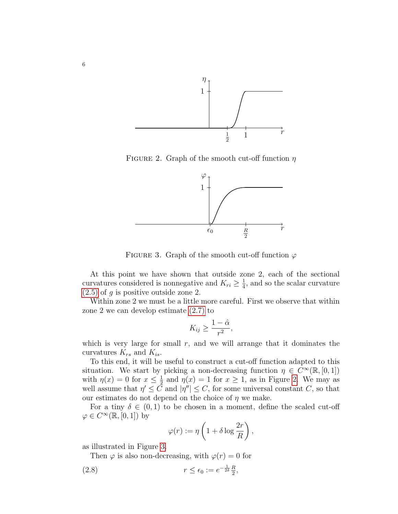

<span id="page-5-0"></span>FIGURE 2. Graph of the smooth cut-off function  $\eta$ 



<span id="page-5-1"></span>FIGURE 3. Graph of the smooth cut-off function  $\varphi$ 

At this point we have shown that outside zone 2, each of the sectional curvatures considered is nonnegative and  $K_{ri} \geq \frac{1}{4}$  $\frac{1}{4}$ , and so the scalar curvature  $(2.5)$  of g is positive outside zone 2.

Within zone 2 we must be a little more careful. First we observe that within zone 2 we can develop estimate [\(2.7\)](#page-4-2) to

$$
K_{ij} \ge \frac{1-\hat{\alpha}}{r^2},
$$

which is very large for small  $r$ , and we will arrange that it dominates the curvatures  $K_{rs}$  and  $K_{is}$ .

To this end, it will be useful to construct a cut-off function adapted to this situation. We start by picking a non-decreasing function  $\eta \in C^{\infty}(\mathbb{R}, [0, 1])$ with  $\eta(x) = 0$  for  $x \leq \frac{1}{2}$  $\frac{1}{2}$  and  $\eta(x) = 1$  for  $x \ge 1$ , as in Figure [2.](#page-5-0) We may as well assume that  $\eta' \leq \tilde{C}$  and  $|\eta''| \leq C$ , for some universal constant C, so that our estimates do not depend on the choice of  $\eta$  we make.

For a tiny  $\delta \in (0,1)$  to be chosen in a moment, define the scaled cut-off  $\varphi \in C^{\infty}(\mathbb{R}, [0, 1])$  by

<span id="page-5-2"></span>
$$
\varphi(r) := \eta \left( 1 + \delta \log \frac{2r}{R} \right),\,
$$

as illustrated in Figure [3.](#page-5-1)

Then  $\varphi$  is also non-decreasing, with  $\varphi(r) = 0$  for

(2.8) 
$$
r \le \epsilon_0 := e^{-\frac{1}{2\delta}} \frac{R}{2},
$$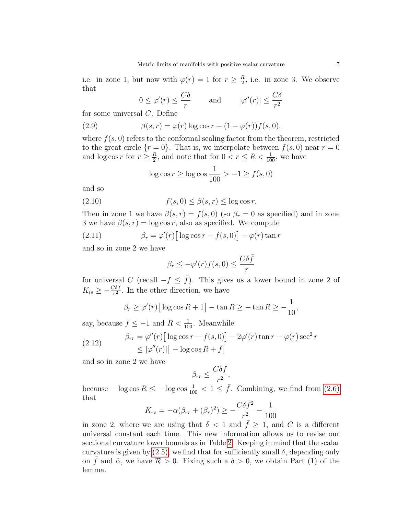i.e. in zone 1, but now with  $\varphi(r) = 1$  for  $r \geq \frac{R}{2}$  $\frac{R}{2}$ , i.e. in zone 3. We observe that

<span id="page-6-1"></span>
$$
0 \le \varphi'(r) \le \frac{C\delta}{r}
$$
 and  $|\varphi''(r)| \le \frac{C\delta}{r^2}$ 

for some universal C. Define

(2.9) 
$$
\beta(s,r) = \varphi(r) \log \cos r + (1 - \varphi(r)) f(s,0),
$$

where  $f(s, 0)$  refers to the conformal scaling factor from the theorem, restricted to the great circle  $\{r=0\}$ . That is, we interpolate between  $f(s,0)$  near  $r=0$ and  $\log \cos r$  for  $r \geq \frac{R}{2}$  $\frac{R}{2}$ , and note that for  $0 < r \leq R < \frac{1}{100}$ , we have

<span id="page-6-0"></span>
$$
\log \cos r \ge \log \cos \frac{1}{100} > -1 \ge f(s, 0)
$$

and so

(2.10) 
$$
f(s,0) \leq \beta(s,r) \leq \log \cos r.
$$

Then in zone 1 we have  $\beta(s,r) = f(s,0)$  (so  $\beta_r = 0$  as specified) and in zone 3 we have  $\beta(s,r) = \log \cos r$ , also as specified. We compute

(2.11) 
$$
\beta_r = \varphi'(r) \left[ \log \cos r - f(s, 0) \right] - \varphi(r) \tan r
$$

and so in zone 2 we have

<span id="page-6-2"></span>
$$
\beta_r \le -\varphi'(r)f(s,0) \le \frac{C\delta \bar{f}}{r}
$$

for universal C (recall  $-f \leq \bar{f}$ ). This gives us a lower bound in zone 2 of  $K_{is} \geq -\frac{C\delta\bar{f}}{r^2}$ . In the other direction, we have

$$
\beta_r \ge \varphi'(r) \big[ \log \cos R + 1 \big] - \tan R \ge -\tan R \ge -\frac{1}{10},
$$

say, because  $f \leq -1$  and  $R < \frac{1}{100}$ . Meanwhile

(2.12) 
$$
\beta_{rr} = \varphi''(r) \left[ \log \cos r - f(s, 0) \right] - 2\varphi'(r) \tan r - \varphi(r) \sec^2 r
$$

$$
\leq |\varphi''(r)| \left[ -\log \cos R + \bar{f} \right]
$$

and so in zone 2 we have

$$
\beta_{rr} \le \frac{C\delta \bar{f}}{r^2},
$$

because  $-\log \cos R \le -\log \cos \frac{1}{100} < 1 \le \bar{f}$ . Combining, we find from [\(2.6\)](#page-4-3) that

$$
K_{rs} = -\alpha(\beta_{rr} + (\beta_r)^2) \ge -\frac{C\delta \bar{f}^2}{r^2} - \frac{1}{100}
$$

in zone 2, where we are using that  $\delta$  < 1 and  $\bar{f} \geq 1$ , and C is a different universal constant each time. This new information allows us to revise our sectional curvature lower bounds as in Table [2.](#page-7-0) Keeping in mind that the scalar curvature is given by  $(2.5)$ , we find that for sufficiently small  $\delta$ , depending only on  $\bar{f}$  and  $\hat{\alpha}$ , we have  $\mathcal{R} > 0$ . Fixing such a  $\delta > 0$ , we obtain Part (1) of the lemma.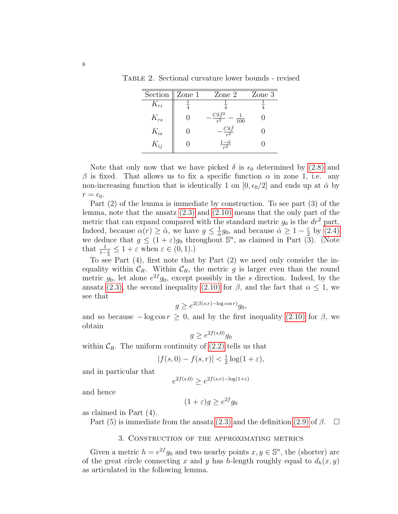Table 2. Sectional curvature lower bounds - revised

<span id="page-7-0"></span>

| Section $\parallel$ Zone 1 | Zone 2                                           | Zone 3 |
|----------------------------|--------------------------------------------------|--------|
| $K_{ri}$                   |                                                  |        |
| $K_{rs}$                   | $C\delta \bar{f}^2$<br>$\overline{100}$<br>$r^2$ |        |
| $K_{is}$                   | $-\frac{C\delta\bar{f}}{r^2}$                    |        |
| $K_{ij}$                   | $\frac{1-\hat{\alpha}}{r^2}$                     |        |

Note that only now that we have picked  $\delta$  is  $\epsilon_0$  determined by [\(2.8\)](#page-5-2) and β is fixed. That allows us to fix a specific function  $\alpha$  in zone 1, i.e. any non-increasing function that is identically 1 on  $[0, \epsilon_0/2]$  and ends up at  $\hat{\alpha}$  by  $r = \epsilon_0$ .

Part (2) of the lemma is immediate by construction. To see part (3) of the lemma, note that the ansatz [\(2.3\)](#page-3-2) and [\(2.10\)](#page-6-0) means that the only part of the metric that can expand compared with the standard metric  $g_0$  is the  $dr^2$  part. Indeed, because  $\alpha(r) \geq \hat{\alpha}$ , we have  $g \leq \frac{1}{\hat{\alpha}} g_0$ , and because  $\hat{\alpha} \geq 1 - \frac{\varepsilon}{2}$  by [\(2.4\)](#page-3-1) mated, because  $\alpha(r) \leq \alpha$ , we have  $g \leq \frac{\alpha}{\alpha} g_0$ , and because  $\alpha \leq 1 - \frac{2}{2}$  by  $(2.4)$ <br>we deduce that  $g \leq (1 + \varepsilon)g_0$  throughout  $\mathbb{S}^n$ , as claimed in Part (3). (Note that  $\frac{1}{1-\frac{\varepsilon}{2}} \leq 1 + \varepsilon$  when  $\varepsilon \in (0,1)$ .)

To see Part (4), first note that by Part (2) we need only consider the inequality within  $\mathcal{C}_R$ . Within  $\mathcal{C}_R$ , the metric g is larger even than the round metric  $g_0$ , let alone  $e^{2f}g_0$ , except possibly in the s direction. Indeed, by the ansatz [\(2.3\),](#page-3-2) the second inequality [\(2.10\)](#page-6-0) for  $\beta$ , and the fact that  $\alpha \leq 1$ , we see that

$$
g \ge e^{2(\beta(s,r) - \log \cos r)} g_0,
$$

and so because  $-\log \cos r \geq 0$ , and by the first inequality [\(2.10\)](#page-6-0) for  $\beta$ , we obtain

$$
g \ge e^{2f(s,0)}g_0
$$

within  $\mathcal{C}_R$ . The uniform continuity of [\(2.2\)](#page-3-3) tells us that

$$
|f(s,0) - f(s,r)| < \frac{1}{2}\log(1+\varepsilon),
$$

and in particular that

$$
e^{2f(s,0)} \ge e^{2f(s,r) - \log(1+\varepsilon)}
$$

and hence

$$
(1+\varepsilon)g \ge e^{2f}g_0
$$

as claimed in Part (4).

Part (5) is immediate from the ansatz [\(2.3\)](#page-3-2) and the definition [\(2.9\)](#page-6-1) of  $\beta$ .  $\Box$ 

## 3. Construction of the approximating metrics

Given a metric  $h = e^{2f}g_0$  and two nearby points  $x, y \in \mathbb{S}^n$ , the (shorter) arc of the great circle connecting x and y has h-length roughly equal to  $d_h(x, y)$ as articulated in the following lemma.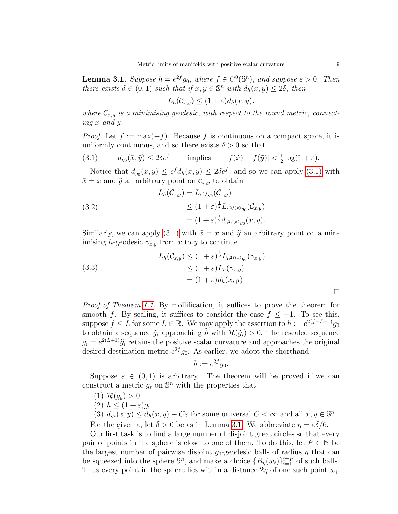<span id="page-8-1"></span>**Lemma 3.1.** Suppose  $h = e^{2f}g_0$ , where  $f \in C^0(\mathbb{S}^n)$ , and suppose  $\varepsilon > 0$ . Then there exists  $\delta \in (0,1)$  such that if  $x, y \in \mathbb{S}^n$  with  $d_h(x, y) \leq 2\delta$ , then

$$
L_h(\mathcal{C}_{x,y}) \le (1+\varepsilon)d_h(x,y).
$$

where  $\mathcal{C}_{x,y}$  is a minimising geodesic, with respect to the round metric, connecting x and y.

*Proof.* Let  $\bar{f} := \max(-f)$ . Because f is continuous on a compact space, it is uniformly continuous, and so there exists  $\delta > 0$  so that

<span id="page-8-0"></span>(3.1) 
$$
d_{g_0}(\tilde{x}, \tilde{y}) \le 2\delta e^{\tilde{f}} \qquad \text{implies} \qquad |f(\tilde{x}) - f(\tilde{y})| < \frac{1}{2}\log(1+\varepsilon).
$$

Notice that  $d_{g_0}(x, y) \leq e^{\bar{f}} d_h(x, y) \leq 2\delta e^{\bar{f}},$  and so we can apply [\(3.1\)](#page-8-0) with  $\tilde{x} = x$  and  $\tilde{y}$  an arbitrary point on  $\mathcal{C}_{x,y}$  to obtain

(3.2)  
\n
$$
L_h(\mathcal{C}_{x,y}) = L_{e^{2f}g_0}(\mathcal{C}_{x,y})
$$
\n
$$
\leq (1+\varepsilon)^{\frac{1}{2}} L_{e^{2f(x)}g_0}(\mathcal{C}_{x,y})
$$
\n
$$
= (1+\varepsilon)^{\frac{1}{2}} d_{e^{2f(x)}g_0}(x,y).
$$

Similarly, we can apply [\(3.1\)](#page-8-0) with  $\tilde{x} = x$  and  $\tilde{y}$  an arbitrary point on a minimising h-geodesic  $\gamma_{x,y}$  from x to y to continue

(3.3)  

$$
L_h(\mathcal{C}_{x,y}) \le (1+\varepsilon)^{\frac{1}{2}} L_{e^{2f(x)}g_0}(\gamma_{x,y})
$$

$$
\le (1+\varepsilon)L_h(\gamma_{x,y})
$$

$$
= (1+\varepsilon)d_h(x,y)
$$

Proof of Theorem [1.1.](#page-0-0) By mollification, it suffices to prove the theorem for smooth f. By scaling, it suffices to consider the case  $f \leq -1$ . To see this, suppose  $f \leq L$  for some  $L \in \mathbb{R}$ . We may apply the assertion to  $\tilde{h} := e^{2(f - L - 1)}g_0$ to obtain a sequence  $\tilde{g}_i$  approaching  $\tilde{h}$  with  $\mathcal{R}(\tilde{g}_i) > 0$ . The rescaled sequence  $g_i = e^{2(L+1)}\tilde{g}_i$  retains the positive scalar curvature and approaches the original desired destination metric  $e^{2f}g_0$ . As earlier, we adopt the shorthand

$$
h := e^{2f} g_0.
$$

Suppose  $\varepsilon \in (0,1)$  is arbitrary. The theorem will be proved if we can construct a metric  $g_{\varepsilon}$  on  $\mathbb{S}^n$  with the properties that

- (1)  $\mathcal{R}(g_{\varepsilon}) > 0$
- (2)  $h \leq (1+\varepsilon)g_{\varepsilon}$

(3)  $d_{g_{\varepsilon}}(x, y) \leq d_h(x, y) + C\varepsilon$  for some universal  $C < \infty$  and all  $x, y \in \mathbb{S}^n$ . For the given  $\varepsilon$ , let  $\delta > 0$  be as in Lemma [3.1.](#page-8-1) We abbreviate  $\eta = \varepsilon \delta/6$ .

Our first task is to find a large number of disjoint great circles so that every pair of points in the sphere is close to one of them. To do this, let  $P \in \mathbb{N}$  be the largest number of pairwise disjoint  $g_0$ -geodesic balls of radius  $\eta$  that can be squeezed into the sphere  $\mathbb{S}^n$ , and make a choice  $\{B_n(w_i)\}_{i=1}^{i=P}$  of such balls. Thus every point in the sphere lies within a distance  $2\eta$  of one such point  $w_i$ .

 $\Box$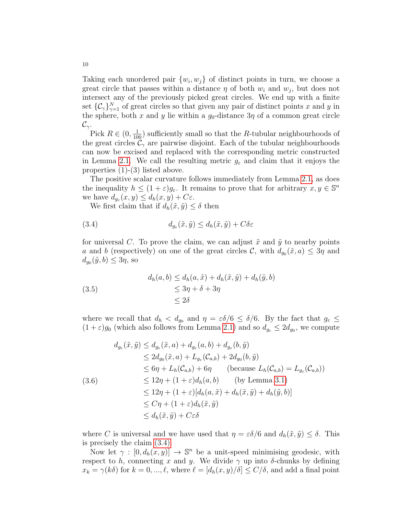Taking each unordered pair  $\{w_i, w_j\}$  of distinct points in turn, we choose a great circle that passes within a distance  $\eta$  of both  $w_i$  and  $w_j$ , but does not intersect any of the previously picked great circles. We end up with a finite set  $\{\mathcal{C}_{\gamma}\}_{\gamma=1}^N$  of great circles so that given any pair of distinct points x and y in the sphere, both x and y lie within a  $g_0$ -distance  $3\eta$  of a common great circle  $\mathcal{C}_{\gamma}$ .

Pick  $R \in (0, \frac{1}{100})$  sufficiently small so that the R-tubular neighbourhoods of the great circles  $\mathcal{C}_{\gamma}$  are pairwise disjoint. Each of the tubular neighbourhoods can now be excised and replaced with the corresponding metric constructed in Lemma [2.1.](#page-2-1) We call the resulting metric  $g_{\varepsilon}$  and claim that it enjoys the properties (1)-(3) listed above.

The positive scalar curvature follows immediately from Lemma [2.1,](#page-2-1) as does the inequality  $h \leq (1+\varepsilon)g_{\varepsilon}$ . It remains to prove that for arbitrary  $x, y \in \mathbb{S}^n$ we have  $d_{g_{\varepsilon}}(x, y) \leq d_h(x, y) + C\varepsilon$ .

<span id="page-9-0"></span>We first claim that if  $d_h(\tilde{x}, \tilde{y}) \leq \delta$  then

(3.4) 
$$
d_{g_{\varepsilon}}(\tilde{x}, \tilde{y}) \leq d_h(\tilde{x}, \tilde{y}) + C\delta \varepsilon
$$

for universal C. To prove the claim, we can adjust  $\tilde{x}$  and  $\tilde{y}$  to nearby points a and b (respectively) on one of the great circles C, with  $d_{g_0}(\tilde{x}, a) \leq 3\eta$  and  $d_{g_0}(\tilde{y}, b) \leq 3\eta$ , so

(3.5)  
\n
$$
d_h(a, b) \leq d_h(a, \tilde{x}) + d_h(\tilde{x}, \tilde{y}) + d_h(\tilde{y}, b)
$$
\n
$$
\leq 3\eta + \delta + 3\eta
$$
\n
$$
\leq 2\delta
$$

where we recall that  $d_h < d_{g_0}$  and  $\eta = \varepsilon \delta/6 \leq \delta/6$ . By the fact that  $g_{\varepsilon} \leq$  $(1+\varepsilon)g_0$  (which also follows from Lemma [2.1\)](#page-2-1) and so  $d_{g_{\varepsilon}} \leq 2d_{g_0}$ , we compute

$$
d_{g_{\varepsilon}}(\tilde{x}, \tilde{y}) \leq d_{g_{\varepsilon}}(\tilde{x}, a) + d_{g_{\varepsilon}}(a, b) + d_{g_{\varepsilon}}(b, \tilde{y})
$$
  
\n
$$
\leq 2d_{g_{0}}(\tilde{x}, a) + L_{g_{\varepsilon}}(\mathcal{C}_{a,b}) + 2d_{g_{0}}(b, \tilde{y})
$$
  
\n
$$
\leq 6\eta + L_{h}(\mathcal{C}_{a,b}) + 6\eta \qquad \text{(because } L_{h}(\mathcal{C}_{a,b}) = L_{g_{\varepsilon}}(\mathcal{C}_{a,b}))
$$
  
\n
$$
\leq 12\eta + (1 + \varepsilon)d_{h}(a, b) \qquad \text{(by Lemma 3.1)}
$$
  
\n
$$
\leq 12\eta + (1 + \varepsilon)[d_{h}(a, \tilde{x}) + d_{h}(\tilde{x}, \tilde{y}) + d_{h}(\tilde{y}, b)]
$$
  
\n
$$
\leq C\eta + (1 + \varepsilon)d_{h}(\tilde{x}, \tilde{y})
$$
  
\n
$$
\leq d_{h}(\tilde{x}, \tilde{y}) + C\varepsilon\delta
$$

where C is universal and we have used that  $\eta = \varepsilon \delta/6$  and  $d_h(\tilde{x}, \tilde{y}) \leq \delta$ . This is precisely the claim [\(3.4\).](#page-9-0)

Now let  $\gamma : [0, d_h(x, y)] \to \mathbb{S}^n$  be a unit-speed minimising geodesic, with respect to h, connecting x and y. We divide  $\gamma$  up into  $\delta$ -chunks by defining  $x_k = \gamma(k\delta)$  for  $k = 0, ..., \ell$ , where  $\ell = [d_h(x, y)/\delta] \le C/\delta$ , and add a final point

10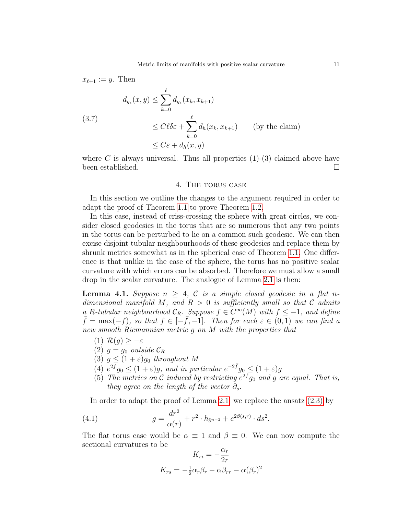$$
x_{\ell+1} := y. \text{ Then}
$$
  
\n
$$
d_{g_{\varepsilon}}(x, y) \le \sum_{k=0}^{\ell} d_{g_{\varepsilon}}(x_k, x_{k+1})
$$
  
\n
$$
(3.7)
$$
  
\n
$$
\le C\ell \delta \varepsilon + \sum_{k=0}^{\ell} d_h(x_k, x_{k+1}) \qquad \text{(by the claim)}
$$
  
\n
$$
\le C\varepsilon + d_h(x, y)
$$

where C is always universal. Thus all properties  $(1)-(3)$  claimed above have been established.

#### 4. The torus case

<span id="page-10-0"></span>In this section we outline the changes to the argument required in order to adapt the proof of Theorem [1.1](#page-0-0) to prove Theorem [1.2.](#page-1-0)

In this case, instead of criss-crossing the sphere with great circles, we consider closed geodesics in the torus that are so numerous that any two points in the torus can be perturbed to lie on a common such geodesic. We can then excise disjoint tubular neighbourhoods of these geodesics and replace them by shrunk metrics somewhat as in the spherical case of Theorem [1.1.](#page-0-0) One difference is that unlike in the case of the sphere, the torus has no positive scalar curvature with which errors can be absorbed. Therefore we must allow a small drop in the scalar curvature. The analogue of Lemma [2.1](#page-2-1) is then:

**Lemma 4.1.** Suppose  $n > 4$ , C is a simple closed geodesic in a flat ndimensional manifold M, and  $R > 0$  is sufficiently small so that C admits a R-tubular neighbourhood  $C_R$ . Suppose  $f \in C^{\infty}(M)$  with  $f \leq -1$ , and define  $\bar{f} = \max(-f)$ , so that  $f \in [-\bar{f}, -1]$ . Then for each  $\varepsilon \in (0, 1)$  we can find a new smooth Riemannian metric g on M with the properties that

- (1)  $\mathcal{R}(g) \geq -\varepsilon$
- (2)  $q = q_0$  outside  $\mathcal{C}_R$
- (3)  $g \leq (1+\varepsilon)g_0$  throughout M
- (4)  $e^{2f}g_0 \leq (1+\varepsilon)g$ , and in particular  $e^{-2\bar{f}}g_0 \leq (1+\varepsilon)g$
- (5) The metrics on C induced by restricting  $e^{2f}g_0$  and g are equal. That is, they agree on the length of the vector  $\partial_s$ .

In order to adapt the proof of Lemma [2.1,](#page-2-1) we replace the ansatz [\(2.3\)](#page-3-2) by

(4.1) 
$$
g = \frac{dr^2}{\alpha(r)} + r^2 \cdot h_{\mathbb{S}^{n-2}} + e^{2\beta(s,r)} \cdot ds^2.
$$

The flat torus case would be  $\alpha \equiv 1$  and  $\beta \equiv 0$ . We can now compute the sectional curvatures to be λ<sub>1</sub>

$$
K_{ri} = -\frac{\alpha_r}{2r}
$$

$$
K_{rs} = -\frac{1}{2}\alpha_r \beta_r - \alpha \beta_{rr} - \alpha (\beta_r)^2
$$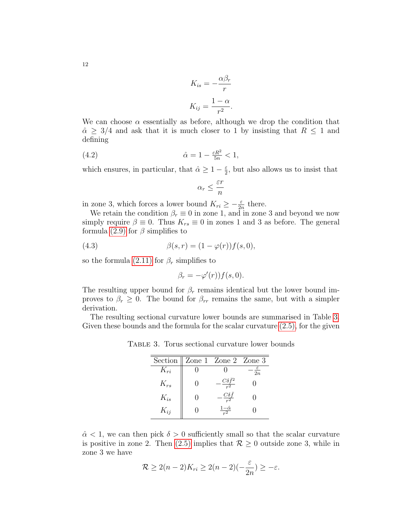$$
12\quad
$$

$$
K_{is} = -\frac{\alpha \beta_r}{r}
$$

$$
K_{ij} = \frac{1 - \alpha}{r^2}.
$$

We can choose  $\alpha$  essentially as before, although we drop the condition that  $\hat{\alpha} \geq 3/4$  and ask that it is much closer to 1 by insisting that  $R \leq 1$  and defining

(4.2) 
$$
\hat{\alpha} = 1 - \frac{\varepsilon R^2}{5n} < 1,
$$

which ensures, in particular, that  $\hat{\alpha} \geq 1 - \frac{\varepsilon}{2}$  $\frac{\varepsilon}{2}$ , but also allows us to insist that

> $\alpha_r \leq \frac{\varepsilon r}{r}$ n

in zone 3, which forces a lower bound  $K_{ri} \geq -\frac{\varepsilon}{2n}$  there.

We retain the condition  $\beta_r \equiv 0$  in zone 1, and in zone 3 and beyond we now simply require  $\beta \equiv 0$ . Thus  $K_{rs} \equiv 0$  in zones 1 and 3 as before. The general formula [\(2.9\)](#page-6-1) for  $\beta$  simplifies to

(4.3) 
$$
\beta(s,r) = (1 - \varphi(r))f(s,0),
$$

so the formula [\(2.11\)](#page-6-2) for  $\beta_r$  simplifies to

 $\beta_r = -\varphi'(r)) f(s, 0).$ 

The resulting upper bound for  $\beta_r$  remains identical but the lower bound improves to  $\beta_r \geq 0$ . The bound for  $\beta_{rr}$  remains the same, but with a simpler derivation.

The resulting sectional curvature lower bounds are summarised in Table [3.](#page-11-0) Given these bounds and the formula for the scalar curvature [\(2.5\),](#page-4-1) for the given

Table 3. Torus sectional curvature lower bounds

<span id="page-11-0"></span>

|          |                       | Section $\parallel$ Zone 1 Zone 2 Zone 3 |                 |
|----------|-----------------------|------------------------------------------|-----------------|
| $K_{ri}$ |                       |                                          | $\overline{2n}$ |
| $K_{rs}$ | $\mathbf{\mathbf{0}}$ | $\cdot \frac{C\delta \bar{f}^2}{r^2}$    |                 |
| $K_{is}$ | $\mathcal{O}$         | $\frac{C\delta\bar{f}}{r^2}$             |                 |
| $K_{ij}$ |                       | $\frac{1-\hat{\alpha}}{r^2}$             |                 |
|          |                       |                                          |                 |

 $\hat{\alpha}$  < 1, we can then pick  $\delta > 0$  sufficiently small so that the scalar curvature is positive in zone 2. Then [\(2.5\)](#page-4-1) implies that  $\mathcal{R} \geq 0$  outside zone 3, while in zone 3 we have

$$
\mathcal{R} \ge 2(n-2)K_{ri} \ge 2(n-2)(-\frac{\varepsilon}{2n}) \ge -\varepsilon.
$$